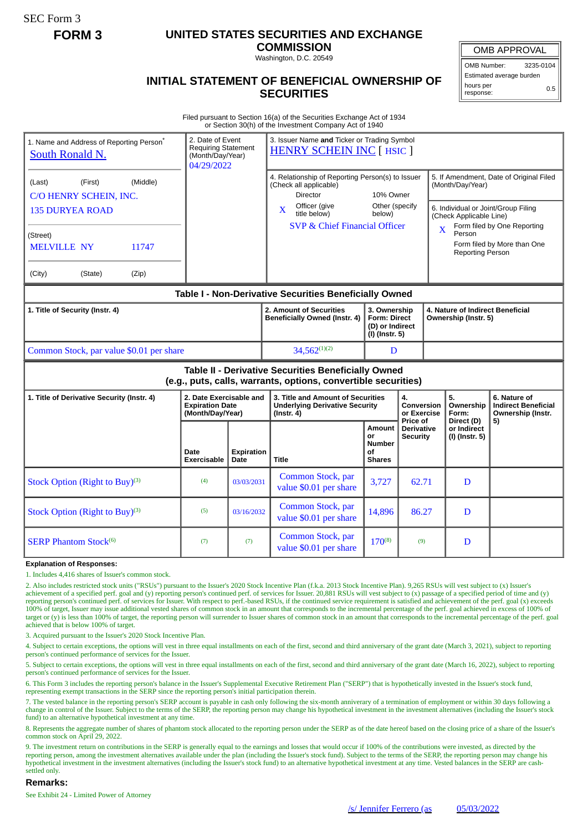SEC Form 3

# **FORM 3 UNITED STATES SECURITIES AND EXCHANGE**

**COMMISSION** Washington, D.C. 20549

OMB APPROVAL OMB Number: 3235-0104 Estimated average burden hours per response: 0.5

# **INITIAL STATEMENT OF BENEFICIAL OWNERSHIP OF SECURITIES**

Filed pursuant to Section 16(a) of the Securities Exchange Act of 1934 or Section 30(h) of the Investment Company Act of 1940

| 1. Name and Address of Reporting Person*<br>South Ronald N.                                                           | 2. Date of Event<br><b>Requiring Statement</b><br>(Month/Day/Year)<br>04/29/2022 |                           | 3. Issuer Name and Ticker or Trading Symbol<br><b>HENRY SCHEIN INC [ HSIC ]</b>                                                                                                                                          |                                                                          |                                           |                                                                                               |                                                                 |  |
|-----------------------------------------------------------------------------------------------------------------------|----------------------------------------------------------------------------------|---------------------------|--------------------------------------------------------------------------------------------------------------------------------------------------------------------------------------------------------------------------|--------------------------------------------------------------------------|-------------------------------------------|-----------------------------------------------------------------------------------------------|-----------------------------------------------------------------|--|
| (Middle)<br>(Last)<br>(First)<br>C/O HENRY SCHEIN, INC.                                                               |                                                                                  |                           | 4. Relationship of Reporting Person(s) to Issuer<br>(Check all applicable)<br><b>Director</b><br>10% Owner<br>Other (specify<br>Officer (give<br>X<br>title below)<br>below)<br><b>SVP &amp; Chief Financial Officer</b> |                                                                          |                                           | 5. If Amendment, Date of Original Filed<br>(Month/Day/Year)                                   |                                                                 |  |
| <b>135 DURYEA ROAD</b>                                                                                                |                                                                                  |                           |                                                                                                                                                                                                                          |                                                                          |                                           | 6. Individual or Joint/Group Filing<br>(Check Applicable Line)<br>Form filed by One Reporting |                                                                 |  |
| (Street)<br><b>MELVILLE NY</b><br>11747                                                                               |                                                                                  |                           |                                                                                                                                                                                                                          |                                                                          |                                           | $\overline{\mathbf{X}}$<br>Person<br><b>Reporting Person</b>                                  | Form filed by More than One                                     |  |
| (City)<br>(State)<br>(Zip)                                                                                            |                                                                                  |                           |                                                                                                                                                                                                                          |                                                                          |                                           |                                                                                               |                                                                 |  |
| Table I - Non-Derivative Securities Beneficially Owned                                                                |                                                                                  |                           |                                                                                                                                                                                                                          |                                                                          |                                           |                                                                                               |                                                                 |  |
| 1. Title of Security (Instr. 4)                                                                                       |                                                                                  |                           | 2. Amount of Securities<br><b>Beneficially Owned (Instr. 4)</b>                                                                                                                                                          | 3. Ownership<br><b>Form: Direct</b><br>(D) or Indirect<br>(I) (Instr. 5) |                                           | Ownership (Instr. 5)                                                                          | 4. Nature of Indirect Beneficial                                |  |
| Common Stock, par value \$0.01 per share                                                                              |                                                                                  |                           | $34.562^{(1)(2)}$                                                                                                                                                                                                        | D                                                                        |                                           |                                                                                               |                                                                 |  |
| Table II - Derivative Securities Beneficially Owned<br>(e.g., puts, calls, warrants, options, convertible securities) |                                                                                  |                           |                                                                                                                                                                                                                          |                                                                          |                                           |                                                                                               |                                                                 |  |
| 1. Title of Derivative Security (Instr. 4)                                                                            | 2. Date Exercisable and<br><b>Expiration Date</b><br>(Month/Day/Year)            |                           | 3. Title and Amount of Securities<br><b>Underlying Derivative Security</b><br>$($ lnstr. 4 $)$                                                                                                                           |                                                                          | 4.<br><b>Conversion</b><br>or Exercise    | 5.<br>Ownership<br>Form:                                                                      | 6. Nature of<br><b>Indirect Beneficial</b><br>Ownership (Instr. |  |
|                                                                                                                       | Date<br><b>Exercisable</b>                                                       | <b>Expiration</b><br>Date | <b>Title</b>                                                                                                                                                                                                             | Amount<br>or<br>Number<br>οf<br><b>Shares</b>                            | Price of<br>Derivative<br><b>Security</b> | Direct (D)<br>or Indirect<br>(I) (Instr. 5)                                                   | 5)                                                              |  |
| Stock Option (Right to Buy) <sup>(3)</sup>                                                                            | (4)                                                                              | 03/03/2031                | Common Stock, par<br>value \$0.01 per share                                                                                                                                                                              | 3,727                                                                    | 62.71                                     | D                                                                                             |                                                                 |  |
| Stock Option (Right to Buy) <sup>(3)</sup>                                                                            | (5)                                                                              | 03/16/2032                | Common Stock, par<br>value \$0.01 per share                                                                                                                                                                              | 14,896                                                                   | 86.27                                     | D                                                                                             |                                                                 |  |
| <b>SERP Phantom Stock(6)</b>                                                                                          | (7)                                                                              | (7)                       | Common Stock, par<br>value \$0.01 per share                                                                                                                                                                              | $170^{(8)}$                                                              | (9)                                       | D                                                                                             |                                                                 |  |

#### **Explanation of Responses:**

1. Includes 4,416 shares of Issuer's common stock.

2. Also includes restricted stock units ("RSUs") pursuant to the Issuer's 2020 Stock Incentive Plan (f.k.a. 2013 Stock Incentive Plan). 9,265 RSUs will vest subject to (x) Issuer's<br>achievement of a specified perf. goal and reporting person's continued perf. of services for Issuer. With respect to perf.-based RSUs, if the continued service requirement is satisfied and achievement of the perf. goal (x) exceeds 100% of target, Issuer may issue additional vested shares of common stock in an amount that corresponds to the incremental percentage of the perf. goal achieved in excess of 100% of target or (y) is less than 100% of target, the reporting person will surrender to Issuer shares of common stock in an amount that corresponds to the incremental percentage of the perf. goal achieved that is below 100% of target.

3. Acquired pursuant to the Issuer's 2020 Stock Incentive Plan.

4. Subject to certain exceptions, the options will vest in three equal installments on each of the first, second and third anniversary of the grant date (March 3, 2021), subject to reporting person's continued performance of services for the Issuer.

5. Subject to certain exceptions, the options will vest in three equal installments on each of the first, second and third anniversary of the grant date (March 16, 2022), subject to reporting person's continued performance of services for the Issuer.

6. This Form 3 includes the reporting person's balance in the Issuer's Supplemental Executive Retirement Plan ("SERP") that is hypothetically invested in the Issuer's stock fund, representing exempt transactions in the SERP since the reporting person's initial participation therein.

7. The vested balance in the reporting person's SERP account is payable in cash only following the six-month anniverary of a termination of employment or within 30 days following a change in control of the Issuer. Subject to the terms of the SERP, the reporting person may change his hypothetical investment in the investment alternatives (including the Issuer's stock<br>fund) to an alternative hypothetic

8. Represents the aggregate number of shares of phantom stock allocated to the reporting person under the SERP as of the date hereof based on the closing price of a share of the Issuer's common stock on April 29, 2022.

9. The investment return on contributions in the SERP is generally equal to the earnings and losses that would occur if 100% of the contributions were invested, as directed by the reporting person, among the investment alternatives available under the plan (including the Issuer's stock fund). Subject to the terms of the SERP, the reporting person may change his hypothetical investment in the investment alternatives (including the Issuer's stock fund) to an alternative hypothetical investment at any time. Vested balances in the SERP are cashsettled only.

### **Remarks:**

See Exhibit 24 - Limited Power of Attorney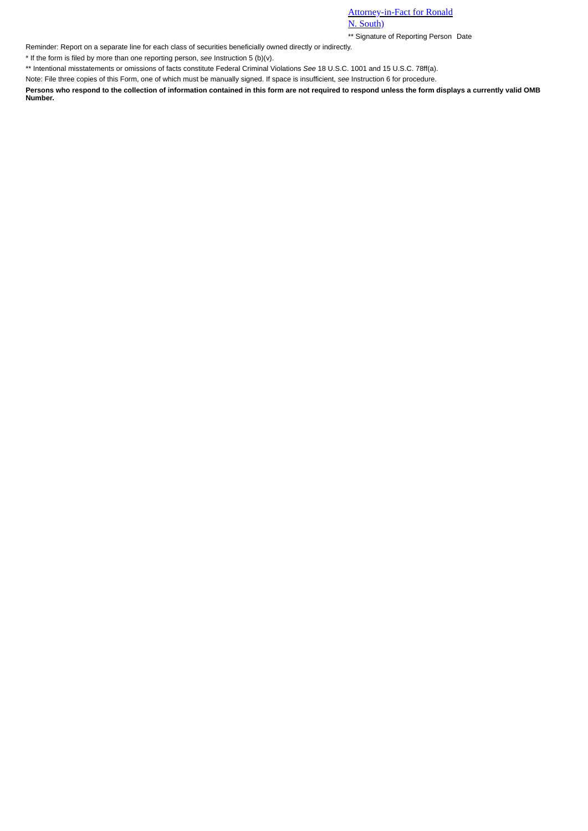## Attorney-in-Fact for Ronald N. South)

\*\* Signature of Reporting Person Date

Reminder: Report on a separate line for each class of securities beneficially owned directly or indirectly.

\* If the form is filed by more than one reporting person, *see* Instruction 5 (b)(v).

\*\* Intentional misstatements or omissions of facts constitute Federal Criminal Violations *See* 18 U.S.C. 1001 and 15 U.S.C. 78ff(a).

Note: File three copies of this Form, one of which must be manually signed. If space is insufficient, *see* Instruction 6 for procedure.

**Persons who respond to the collection of information contained in this form are not required to respond unless the form displays a currently valid OMB Number.**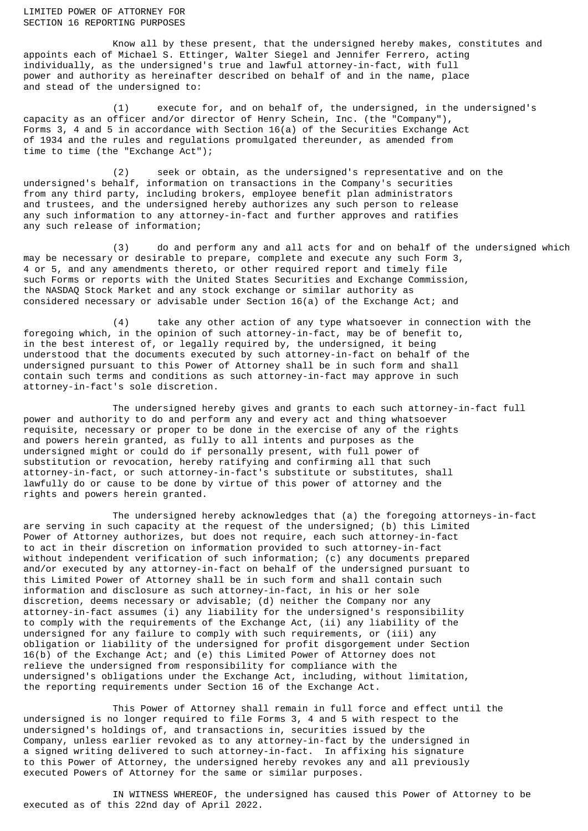LIMITED POWER OF ATTORNEY FOR SECTION 16 REPORTING PURPOSES

Know all by these present, that the undersigned hereby makes, constitutes and appoints each of Michael S. Ettinger, Walter Siegel and Jennifer Ferrero, acting individually, as the undersigned's true and lawful attorney-in-fact, with full power and authority as hereinafter described on behalf of and in the name, place and stead of the undersigned to:

(1) execute for, and on behalf of, the undersigned, in the undersigned's capacity as an officer and/or director of Henry Schein, Inc. (the "Company"), Forms 3, 4 and 5 in accordance with Section 16(a) of the Securities Exchange Act of 1934 and the rules and regulations promulgated thereunder, as amended from time to time (the "Exchange Act");

(2) seek or obtain, as the undersigned's representative and on the undersigned's behalf, information on transactions in the Company's securities from any third party, including brokers, employee benefit plan administrators and trustees, and the undersigned hereby authorizes any such person to release any such information to any attorney-in-fact and further approves and ratifies any such release of information;

(3) do and perform any and all acts for and on behalf of the undersigned which may be necessary or desirable to prepare, complete and execute any such Form 3, 4 or 5, and any amendments thereto, or other required report and timely file such Forms or reports with the United States Securities and Exchange Commission, the NASDAQ Stock Market and any stock exchange or similar authority as considered necessary or advisable under Section 16(a) of the Exchange Act; and

(4) take any other action of any type whatsoever in connection with the foregoing which, in the opinion of such attorney-in-fact, may be of benefit to, in the best interest of, or legally required by, the undersigned, it being understood that the documents executed by such attorney-in-fact on behalf of the undersigned pursuant to this Power of Attorney shall be in such form and shall contain such terms and conditions as such attorney-in-fact may approve in such attorney-in-fact's sole discretion.

The undersigned hereby gives and grants to each such attorney-in-fact full power and authority to do and perform any and every act and thing whatsoever requisite, necessary or proper to be done in the exercise of any of the rights and powers herein granted, as fully to all intents and purposes as the undersigned might or could do if personally present, with full power of substitution or revocation, hereby ratifying and confirming all that such attorney-in-fact, or such attorney-in-fact's substitute or substitutes, shall lawfully do or cause to be done by virtue of this power of attorney and the rights and powers herein granted.

The undersigned hereby acknowledges that (a) the foregoing attorneys-in-fact are serving in such capacity at the request of the undersigned; (b) this Limited Power of Attorney authorizes, but does not require, each such attorney-in-fact to act in their discretion on information provided to such attorney-in-fact without independent verification of such information; (c) any documents prepared and/or executed by any attorney-in-fact on behalf of the undersigned pursuant to this Limited Power of Attorney shall be in such form and shall contain such information and disclosure as such attorney-in-fact, in his or her sole discretion, deems necessary or advisable; (d) neither the Company nor any attorney-in-fact assumes (i) any liability for the undersigned's responsibility to comply with the requirements of the Exchange Act, (ii) any liability of the undersigned for any failure to comply with such requirements, or (iii) any obligation or liability of the undersigned for profit disgorgement under Section 16(b) of the Exchange Act; and (e) this Limited Power of Attorney does not relieve the undersigned from responsibility for compliance with the undersigned's obligations under the Exchange Act, including, without limitation, the reporting requirements under Section 16 of the Exchange Act.

This Power of Attorney shall remain in full force and effect until the undersigned is no longer required to file Forms 3, 4 and 5 with respect to the undersigned's holdings of, and transactions in, securities issued by the Company, unless earlier revoked as to any attorney-in-fact by the undersigned in a signed writing delivered to such attorney-in-fact. In affixing his signature to this Power of Attorney, the undersigned hereby revokes any and all previously executed Powers of Attorney for the same or similar purposes.

IN WITNESS WHEREOF, the undersigned has caused this Power of Attorney to be executed as of this 22nd day of April 2022.